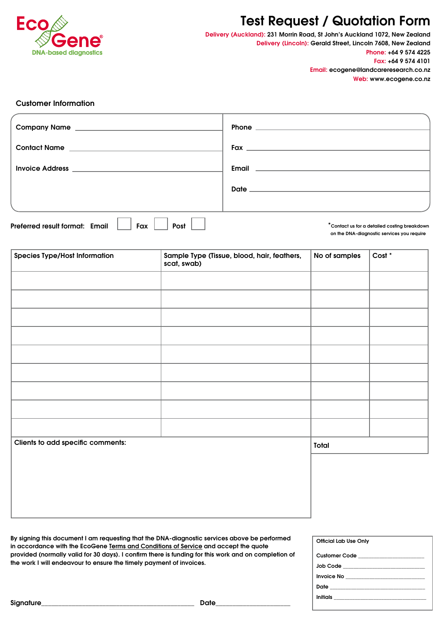

# Test Request / Quotation Form

Delivery (Auckland): 231 Morrin Road, St John's Auckland 1072, New Zealand Delivery (Lincoln): Gerald Street, Lincoln 7608, New Zealand Phone: +64 9 574 4225 Fax: +64 9 574 4101 Email: ecogene@landcareresearch.co.nz

Web: www.ecogene.co.nz

#### Customer Information

| Company Name Lawrence and Company Name        |                                                                                                                                                                                                                                                                                |
|-----------------------------------------------|--------------------------------------------------------------------------------------------------------------------------------------------------------------------------------------------------------------------------------------------------------------------------------|
| Contact Name                                  |                                                                                                                                                                                                                                                                                |
|                                               |                                                                                                                                                                                                                                                                                |
|                                               | Date and the contract of the contract of the contract of the contract of the contract of the contract of the contract of the contract of the contract of the contract of the contract of the contract of the contract of the c                                                 |
|                                               |                                                                                                                                                                                                                                                                                |
| Preferred result format: Email<br>Post<br>Fax | *Contact us for a detailed costing breakdown<br>the contract with the contract of the contract of the contract of the contract of the contract of the contract of the contract of the contract of the contract of the contract of the contract of the contract of the contract |

on the DNA-diagnostic services you require

| <b>Species Type/Host Information</b> | Sample Type (Tissue, blood, hair, feathers,<br>scat, swab) | No of samples | Cost <sup>*</sup> |
|--------------------------------------|------------------------------------------------------------|---------------|-------------------|
|                                      |                                                            |               |                   |
|                                      |                                                            |               |                   |
|                                      |                                                            |               |                   |
|                                      |                                                            |               |                   |
|                                      |                                                            |               |                   |
|                                      |                                                            |               |                   |
|                                      |                                                            |               |                   |
|                                      |                                                            |               |                   |
|                                      |                                                            |               |                   |
| Clients to add specific comments:    |                                                            | Total         |                   |
|                                      |                                                            |               |                   |
|                                      |                                                            |               |                   |
|                                      |                                                            |               |                   |

By signing this document I am requesting that the DNA-diagnostic services above be performed in accordance with the EcoGene [Terms and Conditions of Service](http://www.ecogene.co.nz/documents/Terms_and_Conditions_of_Service.pdf) and accept the quote provided (normally valid for 30 days). I confirm there is funding for this work and on completion of the work I will endeavour to ensure the timely payment of invoices.

| <b>Official Lab Use Only</b>      |  |
|-----------------------------------|--|
| <b>Customer Code</b>              |  |
| Job Code ______________________   |  |
| Invoice No ___________________    |  |
|                                   |  |
| <u>Initials _________________</u> |  |
|                                   |  |